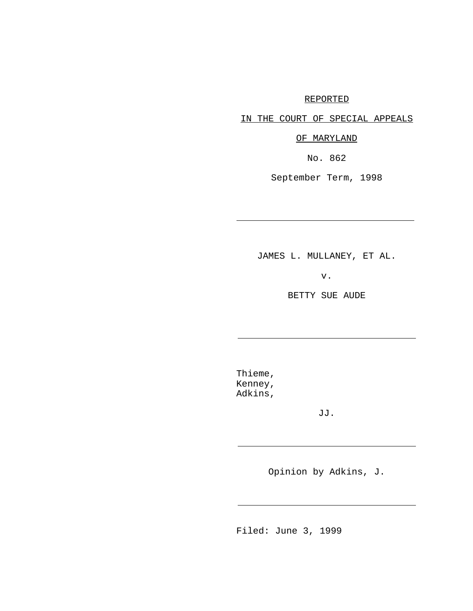## REPORTED

IN THE COURT OF SPECIAL APPEALS

OF MARYLAND

No. 862

September Term, 1998

JAMES L. MULLANEY, ET AL.

v.

BETTY SUE AUDE

Thieme, Kenney, Adkins,

j.

j.

j.

j.

JJ.

Opinion by Adkins, J.

Filed: June 3, 1999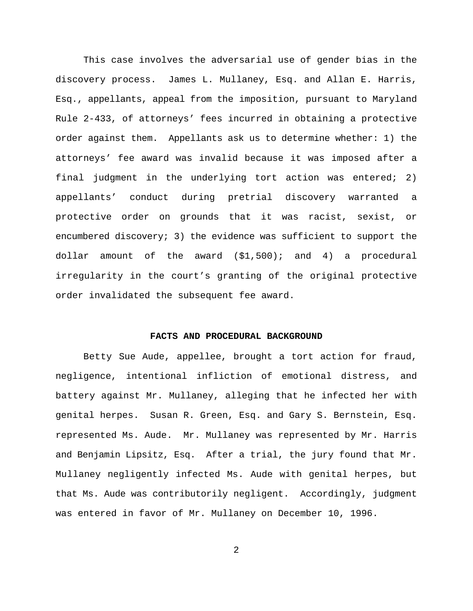This case involves the adversarial use of gender bias in the discovery process. James L. Mullaney, Esq. and Allan E. Harris, Esq., appellants, appeal from the imposition, pursuant to Maryland Rule 2-433, of attorneys' fees incurred in obtaining a protective order against them. Appellants ask us to determine whether: 1) the attorneys' fee award was invalid because it was imposed after a final judgment in the underlying tort action was entered; 2) appellants' conduct during pretrial discovery warranted a protective order on grounds that it was racist, sexist, or encumbered discovery; 3) the evidence was sufficient to support the dollar amount of the award (\$1,500); and 4) a procedural irregularity in the court's granting of the original protective order invalidated the subsequent fee award.

#### **FACTS AND PROCEDURAL BACKGROUND**

Betty Sue Aude, appellee, brought a tort action for fraud, negligence, intentional infliction of emotional distress, and battery against Mr. Mullaney, alleging that he infected her with genital herpes. Susan R. Green, Esq. and Gary S. Bernstein, Esq. represented Ms. Aude. Mr. Mullaney was represented by Mr. Harris and Benjamin Lipsitz, Esq. After a trial, the jury found that Mr. Mullaney negligently infected Ms. Aude with genital herpes, but that Ms. Aude was contributorily negligent. Accordingly, judgment was entered in favor of Mr. Mullaney on December 10, 1996.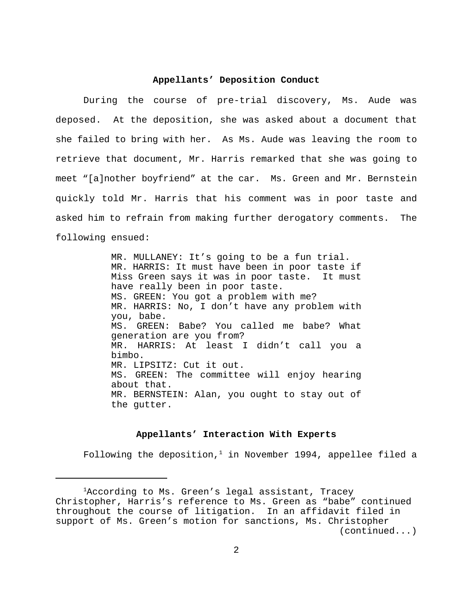#### **Appellants' Deposition Conduct**

During the course of pre-trial discovery, Ms. Aude was deposed. At the deposition, she was asked about a document that she failed to bring with her. As Ms. Aude was leaving the room to retrieve that document, Mr. Harris remarked that she was going to meet "[a]nother boyfriend" at the car. Ms. Green and Mr. Bernstein quickly told Mr. Harris that his comment was in poor taste and asked him to refrain from making further derogatory comments. The following ensued:

> MR. MULLANEY: It's going to be a fun trial. MR. HARRIS: It must have been in poor taste if Miss Green says it was in poor taste. It must have really been in poor taste. MS. GREEN: You got a problem with me? MR. HARRIS: No, I don't have any problem with you, babe. MS. GREEN: Babe? You called me babe? What generation are you from? MR. HARRIS: At least I didn't call you a bimbo. MR. LIPSITZ: Cut it out. MS. GREEN: The committee will enjoy hearing about that. MR. BERNSTEIN: Alan, you ought to stay out of the gutter.

#### **Appellants' Interaction With Experts**

Following the deposition, $<sup>1</sup>$  in November 1994, appellee filed a</sup>

<sup>&</sup>lt;sup>1</sup>According to Ms. Green's legal assistant, Tracey Christopher, Harris's reference to Ms. Green as "babe" continued throughout the course of litigation. In an affidavit filed in support of Ms. Green's motion for sanctions, Ms. Christopher (continued...)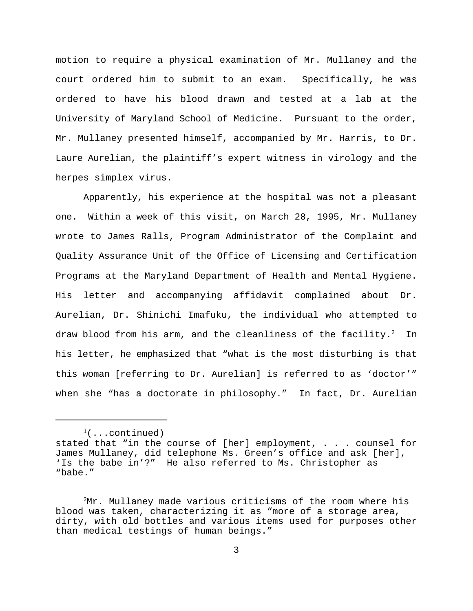motion to require a physical examination of Mr. Mullaney and the court ordered him to submit to an exam. Specifically, he was ordered to have his blood drawn and tested at a lab at the University of Maryland School of Medicine. Pursuant to the order, Mr. Mullaney presented himself, accompanied by Mr. Harris, to Dr. Laure Aurelian, the plaintiff's expert witness in virology and the herpes simplex virus.

Apparently, his experience at the hospital was not a pleasant one. Within a week of this visit, on March 28, 1995, Mr. Mullaney wrote to James Ralls, Program Administrator of the Complaint and Quality Assurance Unit of the Office of Licensing and Certification Programs at the Maryland Department of Health and Mental Hygiene. His letter and accompanying affidavit complained about Dr. Aurelian, Dr. Shinichi Imafuku, the individual who attempted to draw blood from his arm, and the cleanliness of the facility. $^2$  In his letter, he emphasized that "what is the most disturbing is that this woman [referring to Dr. Aurelian] is referred to as 'doctor'" when she "has a doctorate in philosophy." In fact, Dr. Aurelian

 $(1)$ ...continued)

stated that "in the course of [her] employment, . . . counsel for James Mullaney, did telephone Ms. Green's office and ask [her], 'Is the babe in'?" He also referred to Ms. Christopher as "babe."

 ${}^{2}$ Mr. Mullaney made various criticisms of the room where his blood was taken, characterizing it as "more of a storage area, dirty, with old bottles and various items used for purposes other than medical testings of human beings."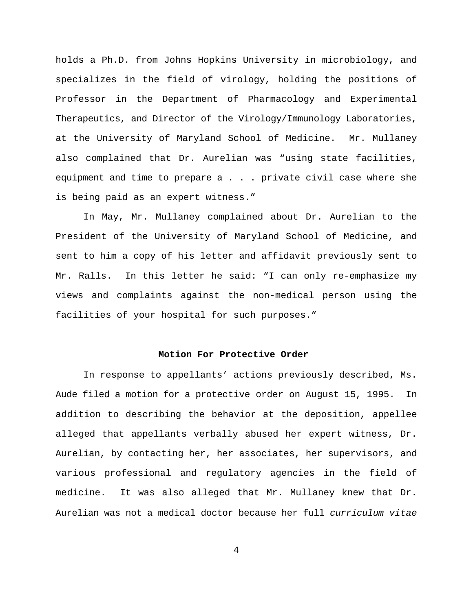holds a Ph.D. from Johns Hopkins University in microbiology, and specializes in the field of virology, holding the positions of Professor in the Department of Pharmacology and Experimental Therapeutics, and Director of the Virology/Immunology Laboratories, at the University of Maryland School of Medicine. Mr. Mullaney also complained that Dr. Aurelian was "using state facilities, equipment and time to prepare a . . . private civil case where she is being paid as an expert witness."

In May, Mr. Mullaney complained about Dr. Aurelian to the President of the University of Maryland School of Medicine, and sent to him a copy of his letter and affidavit previously sent to Mr. Ralls. In this letter he said: "I can only re-emphasize my views and complaints against the non-medical person using the facilities of your hospital for such purposes."

## **Motion For Protective Order**

In response to appellants' actions previously described, Ms. Aude filed a motion for a protective order on August 15, 1995. In addition to describing the behavior at the deposition, appellee alleged that appellants verbally abused her expert witness, Dr. Aurelian, by contacting her, her associates, her supervisors, and various professional and regulatory agencies in the field of medicine. It was also alleged that Mr. Mullaney knew that Dr. Aurelian was not a medical doctor because her full *curriculum vitae*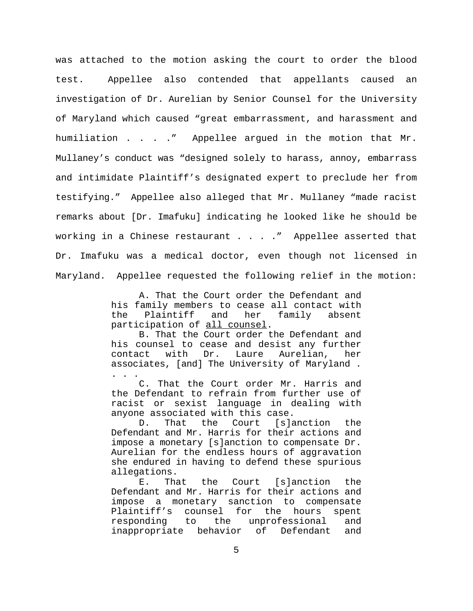was attached to the motion asking the court to order the blood test. Appellee also contended that appellants caused an investigation of Dr. Aurelian by Senior Counsel for the University of Maryland which caused "great embarrassment, and harassment and humiliation . . . ." Appellee argued in the motion that Mr. Mullaney's conduct was "designed solely to harass, annoy, embarrass and intimidate Plaintiff's designated expert to preclude her from testifying." Appellee also alleged that Mr. Mullaney "made racist remarks about [Dr. Imafuku] indicating he looked like he should be working in a Chinese restaurant . . . . " Appellee asserted that Dr. Imafuku was a medical doctor, even though not licensed in Maryland. Appellee requested the following relief in the motion:

> A. That the Court order the Defendant and his family members to cease all contact with the Plaintiff and her family absent participation of all counsel.

> B. That the Court order the Defendant and his counsel to cease and desist any further contact with Dr. Laure Aurelian, her associates, [and] The University of Maryland . . . .

> C. That the Court order Mr. Harris and the Defendant to refrain from further use of racist or sexist language in dealing with anyone associated with this case.

> D. That the Court [s]anction the Defendant and Mr. Harris for their actions and impose a monetary [s]anction to compensate Dr. Aurelian for the endless hours of aggravation she endured in having to defend these spurious allegations.

> E. That the Court [s]anction the Defendant and Mr. Harris for their actions and impose a monetary sanction to compensate Plaintiff's counsel for the hours spent responding to the unprofessional and inappropriate behavior of Defendant and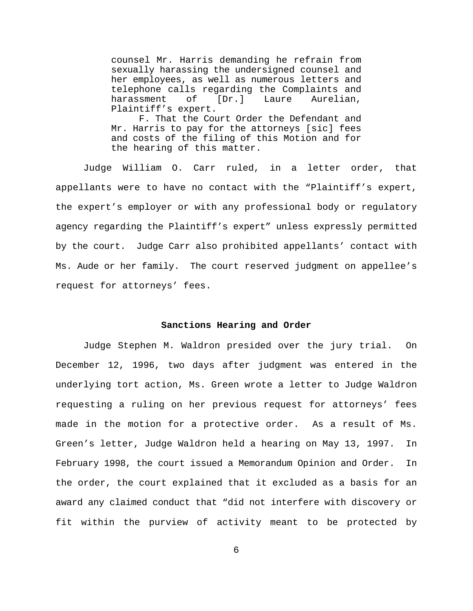counsel Mr. Harris demanding he refrain from sexually harassing the undersigned counsel and her employees, as well as numerous letters and telephone calls regarding the Complaints and harassment of [Dr.] Laure Aurelian, Plaintiff's expert.

F. That the Court Order the Defendant and Mr. Harris to pay for the attorneys [sic] fees and costs of the filing of this Motion and for the hearing of this matter.

Judge William O. Carr ruled, in a letter order, that appellants were to have no contact with the "Plaintiff's expert, the expert's employer or with any professional body or regulatory agency regarding the Plaintiff's expert" unless expressly permitted by the court. Judge Carr also prohibited appellants' contact with Ms. Aude or her family. The court reserved judgment on appellee's request for attorneys' fees.

#### **Sanctions Hearing and Order**

Judge Stephen M. Waldron presided over the jury trial. On December 12, 1996, two days after judgment was entered in the underlying tort action, Ms. Green wrote a letter to Judge Waldron requesting a ruling on her previous request for attorneys' fees made in the motion for a protective order. As a result of Ms. Green's letter, Judge Waldron held a hearing on May 13, 1997. In February 1998, the court issued a Memorandum Opinion and Order. In the order, the court explained that it excluded as a basis for an award any claimed conduct that "did not interfere with discovery or fit within the purview of activity meant to be protected by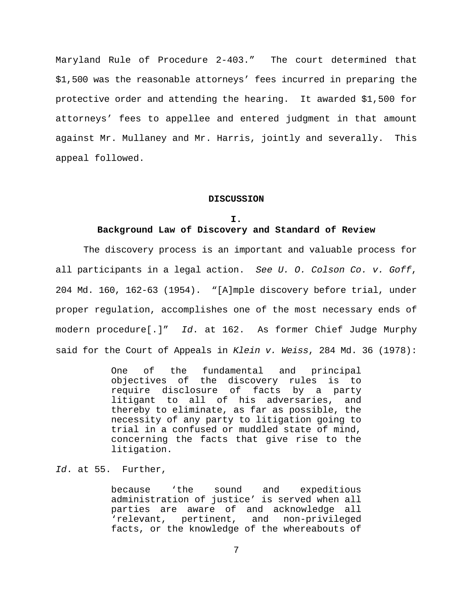Maryland Rule of Procedure 2-403." The court determined that \$1,500 was the reasonable attorneys' fees incurred in preparing the protective order and attending the hearing. It awarded \$1,500 for attorneys' fees to appellee and entered judgment in that amount against Mr. Mullaney and Mr. Harris, jointly and severally. This appeal followed.

#### **DISCUSSION**

#### **I.**

# **Background Law of Discovery and Standard of Review**

The discovery process is an important and valuable process for all participants in a legal action. *See U. O. Colson Co. v. Goff*, 204 Md. 160, 162-63 (1954). "[A]mple discovery before trial, under proper regulation, accomplishes one of the most necessary ends of modern procedure[.]" *Id*. at 162. As former Chief Judge Murphy said for the Court of Appeals in *Klein v. Weiss*, 284 Md. 36 (1978):

> One of the fundamental and principal objectives of the discovery rules is to require disclosure of facts by a party litigant to all of his adversaries, and thereby to eliminate, as far as possible, the necessity of any party to litigation going to trial in a confused or muddled state of mind, concerning the facts that give rise to the litigation.

## *Id*. at 55. Further,

because 'the sound and expeditious administration of justice' is served when all parties are aware of and acknowledge all 'relevant, pertinent, and non-privileged facts, or the knowledge of the whereabouts of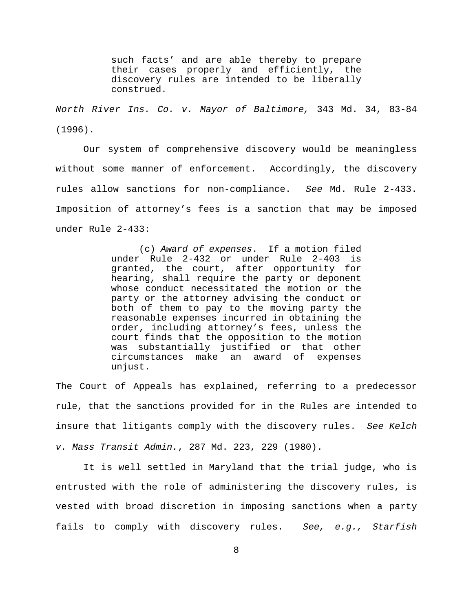such facts' and are able thereby to prepare their cases properly and efficiently, the discovery rules are intended to be liberally construed.

*North River Ins. Co. v. Mayor of Baltimore,* 343 Md. 34, 83-84 (1996).

Our system of comprehensive discovery would be meaningless without some manner of enforcement. Accordingly, the discovery rules allow sanctions for non-compliance. *See* Md. Rule 2-433. Imposition of attorney's fees is a sanction that may be imposed under Rule 2-433:

> (c) *Award of expenses*. If a motion filed under Rule 2-432 or under Rule 2-403 is granted, the court, after opportunity for hearing, shall require the party or deponent whose conduct necessitated the motion or the party or the attorney advising the conduct or both of them to pay to the moving party the reasonable expenses incurred in obtaining the order, including attorney's fees, unless the court finds that the opposition to the motion was substantially justified or that other circumstances make an award of expenses unjust.

The Court of Appeals has explained, referring to a predecessor rule, that the sanctions provided for in the Rules are intended to insure that litigants comply with the discovery rules. *See Kelch v. Mass Transit Admin.*, 287 Md. 223, 229 (1980).

It is well settled in Maryland that the trial judge, who is entrusted with the role of administering the discovery rules, is vested with broad discretion in imposing sanctions when a party fails to comply with discovery rules. *See, e.g., Starfish*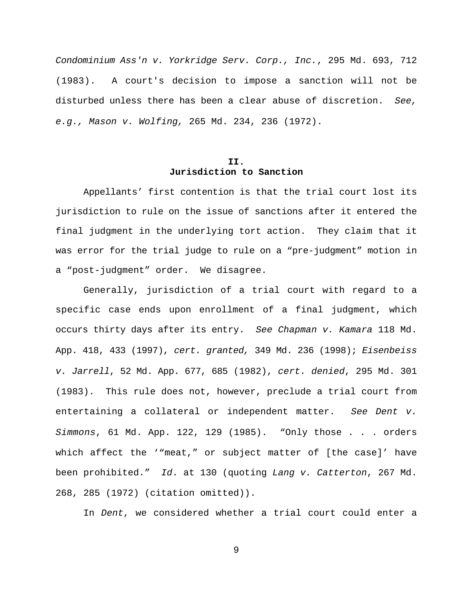*Condominium Ass'n v. Yorkridge Serv. Corp., Inc.*, 295 Md. 693, 712 (1983). A court's decision to impose a sanction will not be disturbed unless there has been a clear abuse of discretion. *See, e.g., Mason v. Wolfing,* 265 Md. 234, 236 (1972).

# **II. Jurisdiction to Sanction**

Appellants' first contention is that the trial court lost its jurisdiction to rule on the issue of sanctions after it entered the final judgment in the underlying tort action. They claim that it was error for the trial judge to rule on a "pre-judgment" motion in a "post-judgment" order. We disagree.

Generally, jurisdiction of a trial court with regard to a specific case ends upon enrollment of a final judgment, which occurs thirty days after its entry. *See Chapman v. Kamara* 118 Md. App. 418, 433 (1997), *cert. granted,* 349 Md. 236 (1998); *Eisenbeiss v. Jarrell*, 52 Md. App. 677, 685 (1982), *cert. denied*, 295 Md. 301 (1983). This rule does not, however, preclude a trial court from entertaining a collateral or independent matter. *See Dent v. Simmons*, 61 Md. App. 122, 129 (1985). "Only those . . . orders which affect the '"meat," or subject matter of [the case]' have been prohibited." *Id*. at 130 (quoting *Lang v. Catterton*, 267 Md. 268, 285 (1972) (citation omitted)).

In *Dent*, we considered whether a trial court could enter a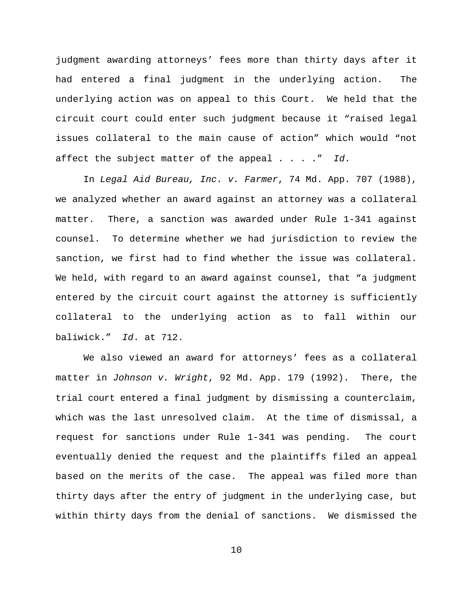judgment awarding attorneys' fees more than thirty days after it had entered a final judgment in the underlying action. The underlying action was on appeal to this Court. We held that the circuit court could enter such judgment because it "raised legal issues collateral to the main cause of action" which would "not affect the subject matter of the appeal . . . ." *Id*.

 In *Legal Aid Bureau, Inc. v. Farmer*, 74 Md. App. 707 (1988), we analyzed whether an award against an attorney was a collateral matter. There, a sanction was awarded under Rule 1-341 against counsel. To determine whether we had jurisdiction to review the sanction, we first had to find whether the issue was collateral. We held, with regard to an award against counsel, that "a judgment entered by the circuit court against the attorney is sufficiently collateral to the underlying action as to fall within our baliwick." *Id*. at 712.

We also viewed an award for attorneys' fees as a collateral matter in *Johnson v. Wright*, 92 Md. App. 179 (1992). There, the trial court entered a final judgment by dismissing a counterclaim, which was the last unresolved claim. At the time of dismissal, a request for sanctions under Rule 1-341 was pending. The court eventually denied the request and the plaintiffs filed an appeal based on the merits of the case. The appeal was filed more than thirty days after the entry of judgment in the underlying case, but within thirty days from the denial of sanctions. We dismissed the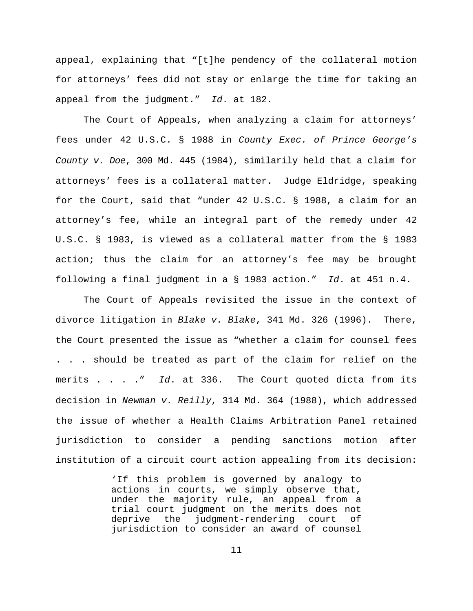appeal, explaining that "[t]he pendency of the collateral motion for attorneys' fees did not stay or enlarge the time for taking an appeal from the judgment." *Id*. at 182.

The Court of Appeals, when analyzing a claim for attorneys' fees under 42 U.S.C. § 1988 in *County Exec. of Prince George's County v. Doe*, 300 Md. 445 (1984), similarily held that a claim for attorneys' fees is a collateral matter. Judge Eldridge, speaking for the Court, said that "under 42 U.S.C. § 1988, a claim for an attorney's fee, while an integral part of the remedy under 42 U.S.C. § 1983, is viewed as a collateral matter from the § 1983 action; thus the claim for an attorney's fee may be brought following a final judgment in a § 1983 action." *Id*. at 451 n.4.

The Court of Appeals revisited the issue in the context of divorce litigation in *Blake v. Blake*, 341 Md. 326 (1996). There, the Court presented the issue as "whether a claim for counsel fees . . . should be treated as part of the claim for relief on the merits . . . ." *Id*. at 336. The Court quoted dicta from its decision in *Newman v. Reilly*, 314 Md. 364 (1988), which addressed the issue of whether a Health Claims Arbitration Panel retained jurisdiction to consider a pending sanctions motion after institution of a circuit court action appealing from its decision:

> 'If this problem is governed by analogy to actions in courts, we simply observe that, under the majority rule, an appeal from a trial court judgment on the merits does not deprive the judgment-rendering court of jurisdiction to consider an award of counsel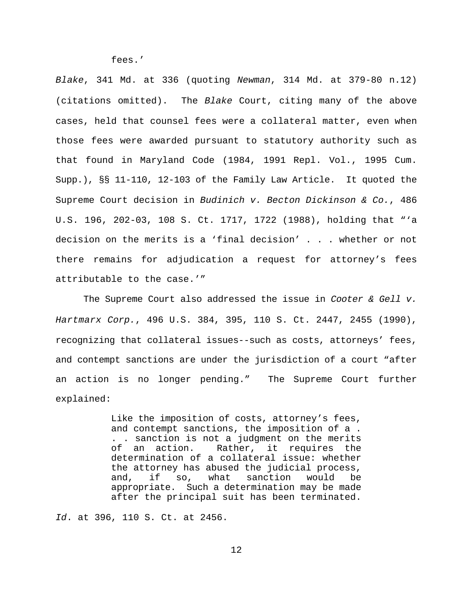fees.'

*Blake*, 341 Md. at 336 (quoting *Newman*, 314 Md. at 379-80 n.12) (citations omitted). The *Blake* Court, citing many of the above cases, held that counsel fees were a collateral matter, even when those fees were awarded pursuant to statutory authority such as that found in Maryland Code (1984, 1991 Repl. Vol., 1995 Cum. Supp.), §§ 11-110, 12-103 of the Family Law Article. It quoted the Supreme Court decision in *Budinich v. Becton Dickinson & Co.*, 486 U.S. 196, 202-03, 108 S. Ct. 1717, 1722 (1988), holding that "'a decision on the merits is a 'final decision' . . . whether or not there remains for adjudication a request for attorney's fees attributable to the case.'"

The Supreme Court also addressed the issue in *Cooter & Gell v. Hartmarx Corp.*, 496 U.S. 384, 395, 110 S. Ct. 2447, 2455 (1990), recognizing that collateral issues--such as costs, attorneys' fees, and contempt sanctions are under the jurisdiction of a court "after an action is no longer pending." The Supreme Court further explained:

> Like the imposition of costs, attorney's fees, and contempt sanctions, the imposition of a . . . sanction is not a judgment on the merits of an action. Rather, it requires the determination of a collateral issue: whether the attorney has abused the judicial process, and, if so, what sanction would be appropriate. Such a determination may be made after the principal suit has been terminated.

*Id*. at 396, 110 S. Ct. at 2456.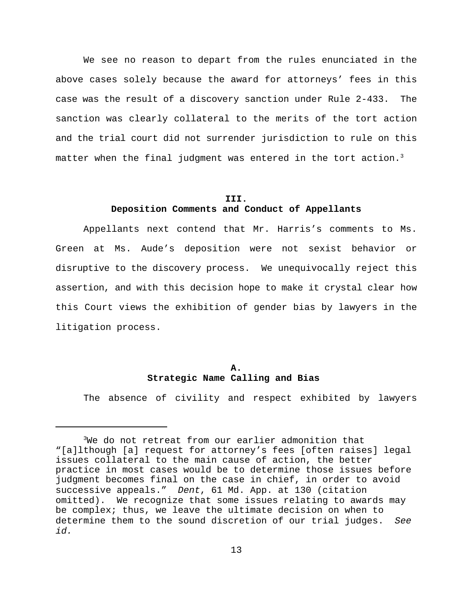We see no reason to depart from the rules enunciated in the above cases solely because the award for attorneys' fees in this case was the result of a discovery sanction under Rule 2-433. The sanction was clearly collateral to the merits of the tort action and the trial court did not surrender jurisdiction to rule on this matter when the final judgment was entered in the tort action.<sup>3</sup>

#### **III.**

# **Deposition Comments and Conduct of Appellants**

Appellants next contend that Mr. Harris's comments to Ms. Green at Ms. Aude's deposition were not sexist behavior or disruptive to the discovery process. We unequivocally reject this assertion, and with this decision hope to make it crystal clear how this Court views the exhibition of gender bias by lawyers in the litigation process.

# **A. Strategic Name Calling and Bias**

The absence of civility and respect exhibited by lawyers

 $3$ We do not retreat from our earlier admonition that "[a]lthough [a] request for attorney's fees [often raises] legal issues collateral to the main cause of action, the better practice in most cases would be to determine those issues before judgment becomes final on the case in chief, in order to avoid successive appeals." *Dent*, 61 Md. App. at 130 (citation omitted).We recognize that some issues relating to awards may be complex; thus, we leave the ultimate decision on when to determine them to the sound discretion of our trial judges. *See id.*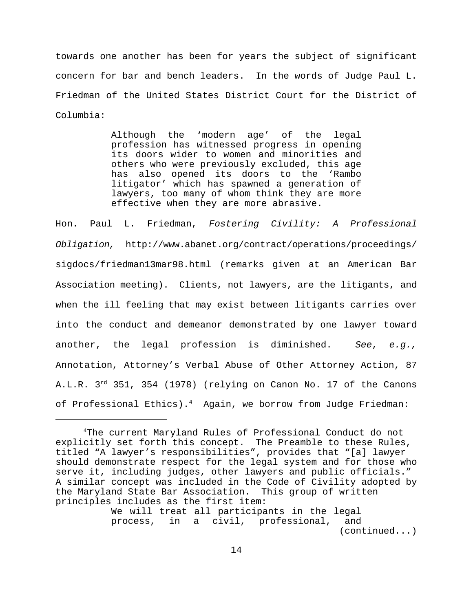towards one another has been for years the subject of significant concern for bar and bench leaders. In the words of Judge Paul L. Friedman of the United States District Court for the District of Columbia:

> Although the 'modern age' of the legal profession has witnessed progress in opening its doors wider to women and minorities and others who were previously excluded, this age has also opened its doors to the 'Rambo litigator' which has spawned a generation of lawyers, too many of whom think they are more effective when they are more abrasive.

Hon. Paul L. Friedman, *Fostering Civility: A Professional Obligation,* http://www.abanet.org/contract/operations/proceedings/ sigdocs/friedman13mar98.html (remarks given at an American Bar Association meeting).Clients, not lawyers, are the litigants, and when the ill feeling that may exist between litigants carries over into the conduct and demeanor demonstrated by one lawyer toward another, the legal profession is diminished. *See*, *e.g.,* Annotation, Attorney's Verbal Abuse of Other Attorney Action, 87 A.L.R. 3<sup>rd</sup> 351, 354 (1978) (relying on Canon No. 17 of the Canons of Professional Ethics).<sup>4</sup> Again, we borrow from Judge Friedman:

We will treat all participants in the legal process, in a civil, professional, and (continued...)

<sup>&</sup>lt;sup>4</sup>The current Maryland Rules of Professional Conduct do not explicitly set forth this concept. The Preamble to these Rules, titled "A lawyer's responsibilities", provides that "[a] lawyer should demonstrate respect for the legal system and for those who serve it, including judges, other lawyers and public officials." A similar concept was included in the Code of Civility adopted by the Maryland State Bar Association. This group of written principles includes as the first item: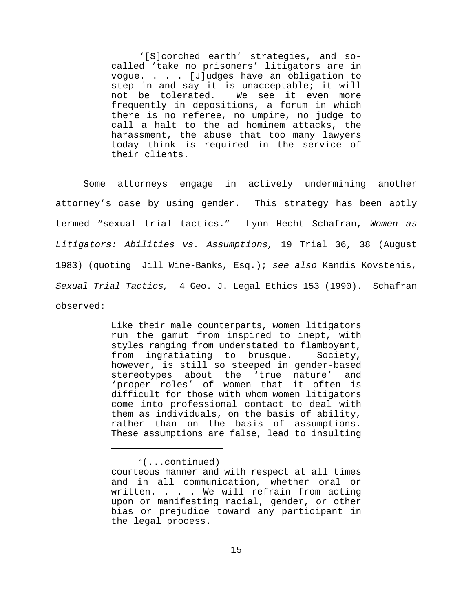'[S]corched earth' strategies, and socalled 'take no prisoners' litigators are in vogue. . . . [J]udges have an obligation to step in and say it is unacceptable; it will not be tolerated. We see it even more frequently in depositions, a forum in which there is no referee, no umpire, no judge to call a halt to the ad hominem attacks, the harassment, the abuse that too many lawyers today think is required in the service of their clients.

Some attorneys engage in actively undermining another attorney's case by using gender. This strategy has been aptly termed "sexual trial tactics." Lynn Hecht Schafran, *Women as Litigators: Abilities vs. Assumptions,* 19 Trial 36, 38 (August 1983) (quoting Jill Wine-Banks, Esq.); *see also* Kandis Kovstenis, *Sexual Trial Tactics,* 4 Geo. J. Legal Ethics 153 (1990). Schafran observed:

> Like their male counterparts, women litigators run the gamut from inspired to inept, with styles ranging from understated to flamboyant, from ingratiating to brusque. Society, however, is still so steeped in gender-based stereotypes about the 'true nature' and 'proper roles' of women that it often is difficult for those with whom women litigators come into professional contact to deal with them as individuals, on the basis of ability, rather than on the basis of assumptions. These assumptions are false, lead to insulting

 $4$ (...continued)

courteous manner and with respect at all times and in all communication, whether oral or written. . . . We will refrain from acting upon or manifesting racial, gender, or other bias or prejudice toward any participant in the legal process.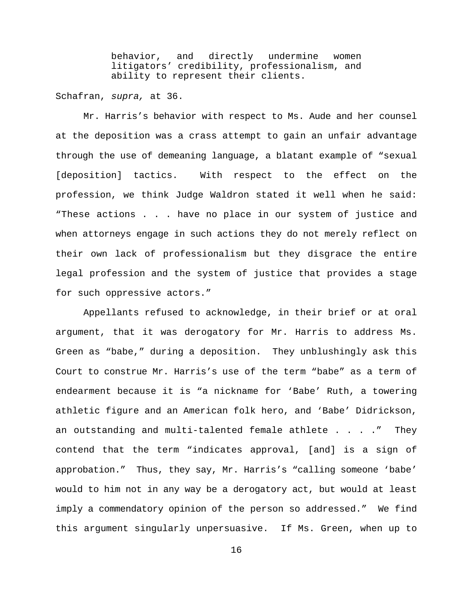behavior, and directly undermine women litigators' credibility, professionalism, and ability to represent their clients.

Schafran, *supra,* at 36.

Mr. Harris's behavior with respect to Ms. Aude and her counsel at the deposition was a crass attempt to gain an unfair advantage through the use of demeaning language, a blatant example of "sexual [deposition] tactics. With respect to the effect on the profession, we think Judge Waldron stated it well when he said: "These actions . . . have no place in our system of justice and when attorneys engage in such actions they do not merely reflect on their own lack of professionalism but they disgrace the entire legal profession and the system of justice that provides a stage for such oppressive actors."

Appellants refused to acknowledge, in their brief or at oral argument, that it was derogatory for Mr. Harris to address Ms. Green as "babe," during a deposition. They unblushingly ask this Court to construe Mr. Harris's use of the term "babe" as a term of endearment because it is "a nickname for 'Babe' Ruth, a towering athletic figure and an American folk hero, and 'Babe' Didrickson, an outstanding and multi-talented female athlete . . . ." They contend that the term "indicates approval, [and] is a sign of approbation." Thus, they say, Mr. Harris's "calling someone 'babe' would to him not in any way be a derogatory act, but would at least imply a commendatory opinion of the person so addressed." We find this argument singularly unpersuasive. If Ms. Green, when up to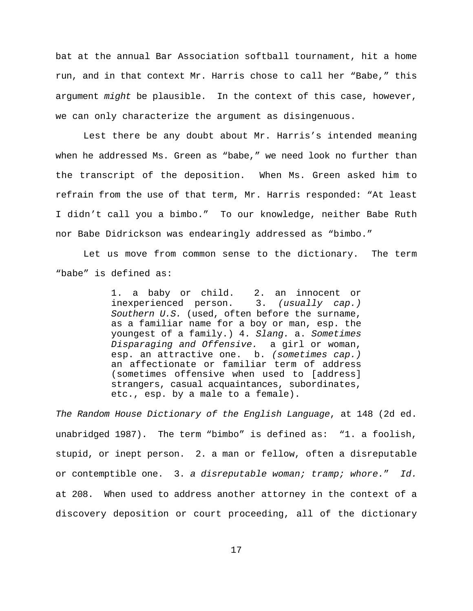bat at the annual Bar Association softball tournament, hit a home run, and in that context Mr. Harris chose to call her "Babe," this argument *might* be plausible. In the context of this case, however, we can only characterize the argument as disingenuous.

Lest there be any doubt about Mr. Harris's intended meaning when he addressed Ms. Green as "babe," we need look no further than the transcript of the deposition. When Ms. Green asked him to refrain from the use of that term, Mr. Harris responded: "At least I didn't call you a bimbo." To our knowledge, neither Babe Ruth nor Babe Didrickson was endearingly addressed as "bimbo."

Let us move from common sense to the dictionary. The term "babe" is defined as:

> 1. a baby or child. 2. an innocent or inexperienced person. 3. *(usually cap.) Southern U.S.* (used, often before the surname, as a familiar name for a boy or man, esp. the youngest of a family.) 4. *Slang.* a. *Sometimes Disparaging and Offensive.* a girl or woman, esp. an attractive one. b. *(sometimes cap.)* an affectionate or familiar term of address (sometimes offensive when used to [address] strangers, casual acquaintances, subordinates, etc., esp. by a male to a female).

*The Random House Dictionary of the English Language*, at 148 (2d ed. unabridged 1987). The term "bimbo" is defined as: "1. a foolish, stupid, or inept person. 2. a man or fellow, often a disreputable or contemptible one. 3. *a disreputable woman; tramp; whore.*" *Id.* at 208. When used to address another attorney in the context of a discovery deposition or court proceeding, all of the dictionary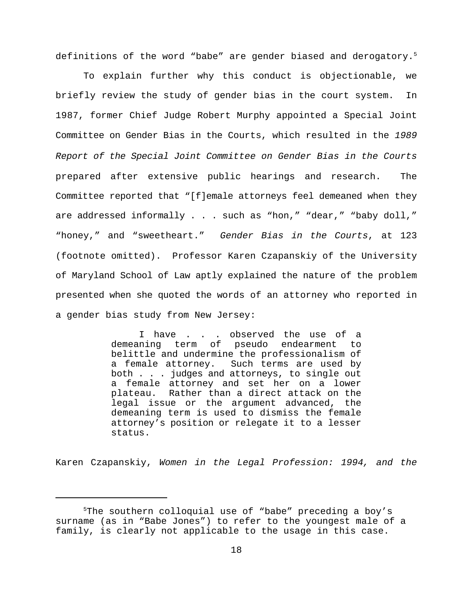definitions of the word "babe" are gender biased and derogatory.<sup>5</sup>

To explain further why this conduct is objectionable, we briefly review the study of gender bias in the court system. In 1987, former Chief Judge Robert Murphy appointed a Special Joint Committee on Gender Bias in the Courts, which resulted in the *1989 Report of the Special Joint Committee on Gender Bias in the Courts* prepared after extensive public hearings and research. The Committee reported that "[f]emale attorneys feel demeaned when they are addressed informally . . . such as "hon," "dear," "baby doll," "honey," and "sweetheart." *Gender Bias in the Courts*, at 123 (footnote omitted). Professor Karen Czapanskiy of the University of Maryland School of Law aptly explained the nature of the problem presented when she quoted the words of an attorney who reported in a gender bias study from New Jersey:

> I have . . . observed the use of a demeaning term of pseudo endearment to belittle and undermine the professionalism of a female attorney. Such terms are used by both . . . judges and attorneys, to single out a female attorney and set her on a lower plateau. Rather than a direct attack on the legal issue or the argument advanced, the demeaning term is used to dismiss the female attorney's position or relegate it to a lesser status.

Karen Czapanskiy, *Women in the Legal Profession: 1994, and the*

 $5$ The southern colloquial use of "babe" preceding a boy's surname (as in "Babe Jones") to refer to the youngest male of a family, is clearly not applicable to the usage in this case.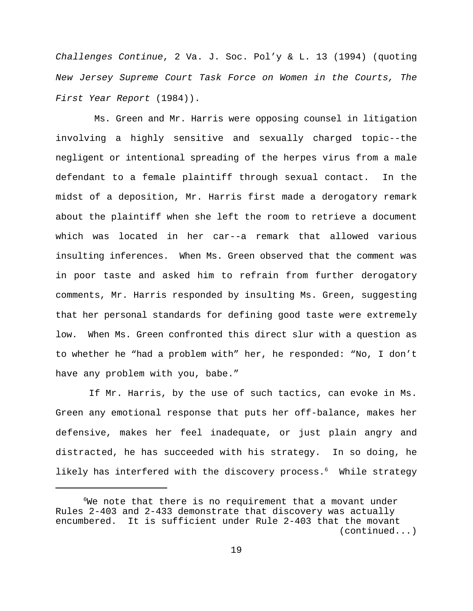*Challenges Continue*, 2 Va. J. Soc. Pol'y & L. 13 (1994) (quoting *New Jersey Supreme Court Task Force on Women in the Courts, The First Year Report* (1984)).

 Ms. Green and Mr. Harris were opposing counsel in litigation involving a highly sensitive and sexually charged topic--the negligent or intentional spreading of the herpes virus from a male defendant to a female plaintiff through sexual contact. In the midst of a deposition, Mr. Harris first made a derogatory remark about the plaintiff when she left the room to retrieve a document which was located in her car--a remark that allowed various insulting inferences. When Ms. Green observed that the comment was in poor taste and asked him to refrain from further derogatory comments, Mr. Harris responded by insulting Ms. Green, suggesting that her personal standards for defining good taste were extremely low. When Ms. Green confronted this direct slur with a question as to whether he "had a problem with" her, he responded: "No, I don't have any problem with you, babe."

 If Mr. Harris, by the use of such tactics, can evoke in Ms. Green any emotional response that puts her off-balance, makes her defensive, makes her feel inadequate, or just plain angry and distracted, he has succeeded with his strategy. In so doing, he likely has interfered with the discovery process.<sup>6</sup> While strategy

 $6$ We note that there is no requirement that a movant under Rules 2-403 and 2-433 demonstrate that discovery was actually encumbered. It is sufficient under Rule 2-403 that the movant (continued...)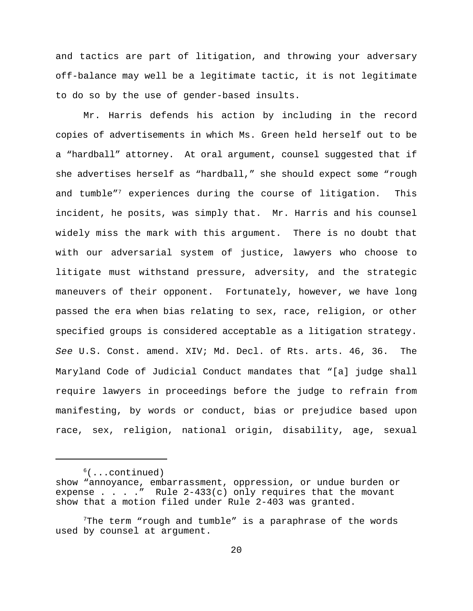and tactics are part of litigation, and throwing your adversary off-balance may well be a legitimate tactic, it is not legitimate to do so by the use of gender-based insults.

Mr. Harris defends his action by including in the record copies of advertisements in which Ms. Green held herself out to be a "hardball" attorney. At oral argument, counsel suggested that if she advertises herself as "hardball," she should expect some "rough and tumble"<sup>7</sup> experiences during the course of litigation. This incident, he posits, was simply that. Mr. Harris and his counsel widely miss the mark with this argument. There is no doubt that with our adversarial system of justice, lawyers who choose to litigate must withstand pressure, adversity, and the strategic maneuvers of their opponent. Fortunately, however, we have long passed the era when bias relating to sex, race, religion, or other specified groups is considered acceptable as a litigation strategy. *See* U.S. Const. amend. XIV; Md. Decl. of Rts. arts. 46, 36. The Maryland Code of Judicial Conduct mandates that "[a] judge shall require lawyers in proceedings before the judge to refrain from manifesting, by words or conduct, bias or prejudice based upon race, sex, religion, national origin, disability, age, sexual

 $<sup>6</sup>(...continued)$ </sup>

show "annoyance, embarrassment, oppression, or undue burden or expense . . . ." Rule  $2-433(c)$  only requires that the movant show that a motion filed under Rule 2-403 was granted.

 $^7$ The term "rough and tumble" is a paraphrase of the words used by counsel at argument.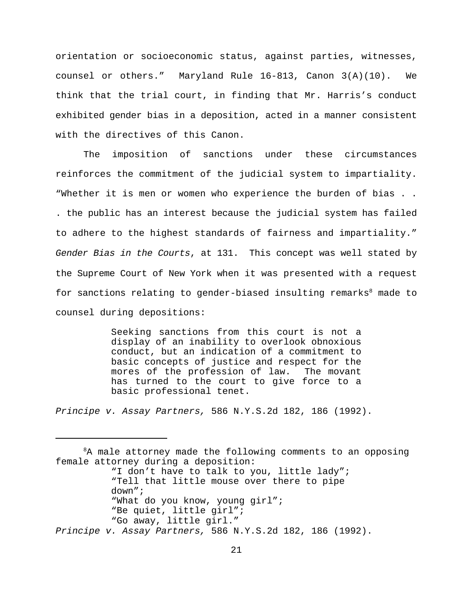orientation or socioeconomic status, against parties, witnesses, counsel or others." Maryland Rule 16-813, Canon 3(A)(10). We think that the trial court, in finding that Mr. Harris's conduct exhibited gender bias in a deposition, acted in a manner consistent with the directives of this Canon.

The imposition of sanctions under these circumstances reinforces the commitment of the judicial system to impartiality. "Whether it is men or women who experience the burden of bias . . . the public has an interest because the judicial system has failed to adhere to the highest standards of fairness and impartiality." *Gender Bias in the Courts*, at 131. This concept was well stated by the Supreme Court of New York when it was presented with a request for sanctions relating to gender-biased insulting remarks $<sup>8</sup>$  made to</sup> counsel during depositions:

> Seeking sanctions from this court is not a display of an inability to overlook obnoxious conduct, but an indication of a commitment to basic concepts of justice and respect for the mores of the profession of law. The movant has turned to the court to give force to a basic professional tenet.

*Principe v. Assay Partners,* 586 N.Y.S.2d 182, 186 (1992).

 ${}^{8}$ A male attorney made the following comments to an opposing female attorney during a deposition: "I don't have to talk to you, little lady"; "Tell that little mouse over there to pipe down"; "What do you know, young girl"; "Be quiet, little girl"; "Go away, little girl." *Principe v. Assay Partners,* 586 N.Y.S.2d 182, 186 (1992).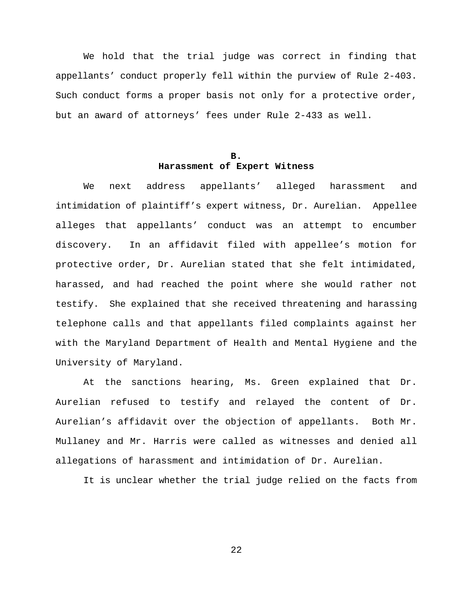We hold that the trial judge was correct in finding that appellants' conduct properly fell within the purview of Rule 2-403. Such conduct forms a proper basis not only for a protective order, but an award of attorneys' fees under Rule 2-433 as well.

# **B. Harassment of Expert Witness**

We next address appellants' alleged harassment and intimidation of plaintiff's expert witness, Dr. Aurelian. Appellee alleges that appellants' conduct was an attempt to encumber discovery. In an affidavit filed with appellee's motion for protective order, Dr. Aurelian stated that she felt intimidated, harassed, and had reached the point where she would rather not testify. She explained that she received threatening and harassing telephone calls and that appellants filed complaints against her with the Maryland Department of Health and Mental Hygiene and the University of Maryland.

At the sanctions hearing, Ms. Green explained that Dr. Aurelian refused to testify and relayed the content of Dr. Aurelian's affidavit over the objection of appellants. Both Mr. Mullaney and Mr. Harris were called as witnesses and denied all allegations of harassment and intimidation of Dr. Aurelian.

It is unclear whether the trial judge relied on the facts from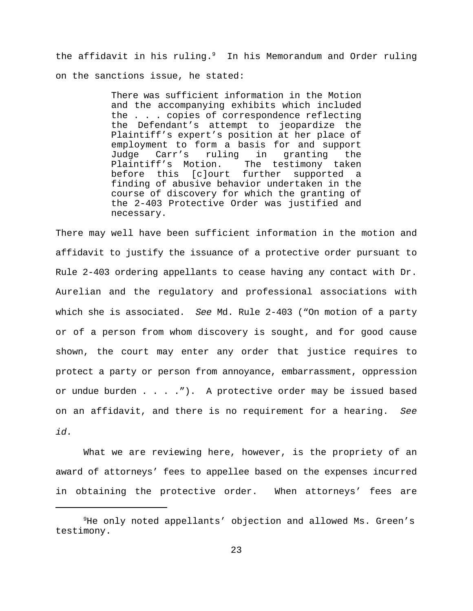the affidavit in his ruling.<sup>9</sup> In his Memorandum and Order ruling on the sanctions issue, he stated:

> There was sufficient information in the Motion and the accompanying exhibits which included the . . . copies of correspondence reflecting the Defendant's attempt to jeopardize the Plaintiff's expert's position at her place of employment to form a basis for and support Judge Carr's ruling in granting the Plaintiff's Motion. The testimony taken before this [c]ourt further supported a finding of abusive behavior undertaken in the course of discovery for which the granting of the 2-403 Protective Order was justified and necessary.

There may well have been sufficient information in the motion and affidavit to justify the issuance of a protective order pursuant to Rule 2-403 ordering appellants to cease having any contact with Dr. Aurelian and the regulatory and professional associations with which she is associated. *See* Md. Rule 2-403 ("On motion of a party or of a person from whom discovery is sought, and for good cause shown, the court may enter any order that justice requires to protect a party or person from annoyance, embarrassment, oppression or undue burden . . . ."). A protective order may be issued based on an affidavit, and there is no requirement for a hearing. *See id.*

What we are reviewing here, however, is the propriety of an award of attorneys' fees to appellee based on the expenses incurred in obtaining the protective order. When attorneys' fees are

 $9$ He only noted appellants' objection and allowed Ms. Green's testimony.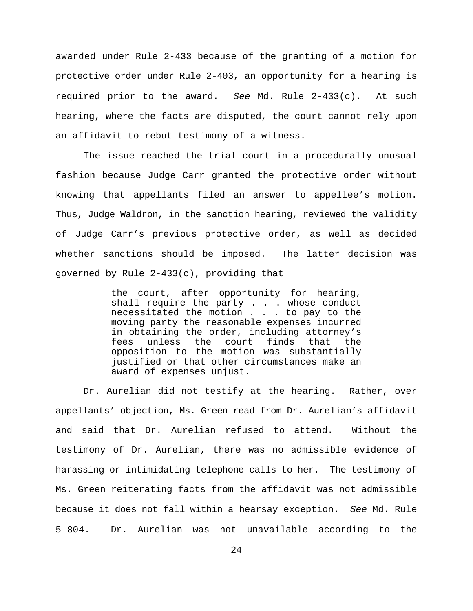awarded under Rule 2-433 because of the granting of a motion for protective order under Rule 2-403, an opportunity for a hearing is required prior to the award. *See* Md. Rule 2-433(c). At such hearing, where the facts are disputed, the court cannot rely upon an affidavit to rebut testimony of a witness.

The issue reached the trial court in a procedurally unusual fashion because Judge Carr granted the protective order without knowing that appellants filed an answer to appellee's motion. Thus, Judge Waldron, in the sanction hearing, reviewed the validity of Judge Carr's previous protective order, as well as decided whether sanctions should be imposed. The latter decision was governed by Rule 2-433(c), providing that

> the court, after opportunity for hearing, shall require the party . . . whose conduct necessitated the motion . . . to pay to the moving party the reasonable expenses incurred in obtaining the order, including attorney's fees unless the court finds that the opposition to the motion was substantially justified or that other circumstances make an award of expenses unjust.

Dr. Aurelian did not testify at the hearing. Rather, over appellants' objection, Ms. Green read from Dr. Aurelian's affidavit and said that Dr. Aurelian refused to attend. Without the testimony of Dr. Aurelian, there was no admissible evidence of harassing or intimidating telephone calls to her. The testimony of Ms. Green reiterating facts from the affidavit was not admissible because it does not fall within a hearsay exception. *See* Md. Rule 5-804. Dr. Aurelian was not unavailable according to the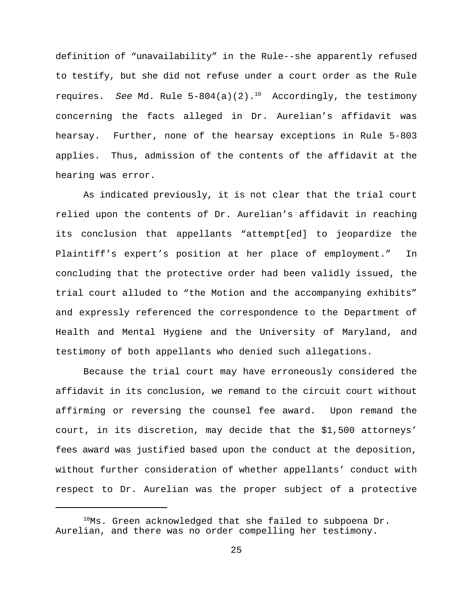definition of "unavailability" in the Rule--she apparently refused to testify, but she did not refuse under a court order as the Rule requires. *See* Md. Rule 5-804(a)(2).<sup>10</sup> Accordingly, the testimony concerning the facts alleged in Dr. Aurelian's affidavit was hearsay. Further, none of the hearsay exceptions in Rule 5-803 applies. Thus, admission of the contents of the affidavit at the hearing was error.

As indicated previously, it is not clear that the trial court relied upon the contents of Dr. Aurelian's affidavit in reaching its conclusion that appellants "attempt[ed] to jeopardize the Plaintiff's expert's position at her place of employment." In concluding that the protective order had been validly issued, the trial court alluded to "the Motion and the accompanying exhibits" and expressly referenced the correspondence to the Department of Health and Mental Hygiene and the University of Maryland, and testimony of both appellants who denied such allegations.

Because the trial court may have erroneously considered the affidavit in its conclusion, we remand to the circuit court without affirming or reversing the counsel fee award. Upon remand the court, in its discretion, may decide that the \$1,500 attorneys' fees award was justified based upon the conduct at the deposition, without further consideration of whether appellants' conduct with respect to Dr. Aurelian was the proper subject of a protective

 $^{10}$ Ms. Green acknowledged that she failed to subpoena Dr. Aurelian, and there was no order compelling her testimony.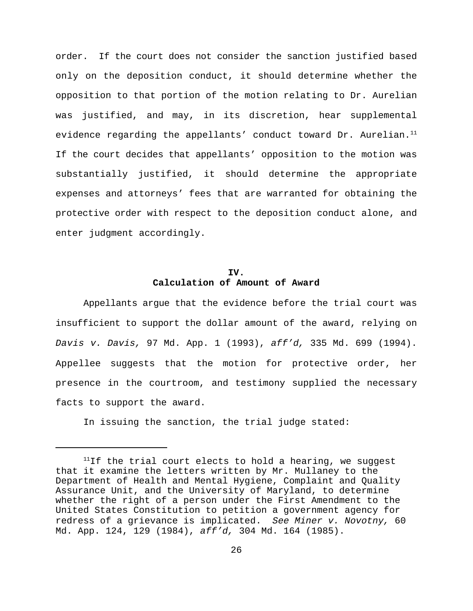order. If the court does not consider the sanction justified based only on the deposition conduct, it should determine whether the opposition to that portion of the motion relating to Dr. Aurelian was justified, and may, in its discretion, hear supplemental evidence regarding the appellants' conduct toward Dr. Aurelian.<sup>11</sup> If the court decides that appellants' opposition to the motion was substantially justified, it should determine the appropriate expenses and attorneys' fees that are warranted for obtaining the protective order with respect to the deposition conduct alone, and enter judgment accordingly.

# **IV. Calculation of Amount of Award**

Appellants argue that the evidence before the trial court was insufficient to support the dollar amount of the award, relying on *Davis v. Davis,* 97 Md. App. 1 (1993), *aff'd,* 335 Md. 699 (1994). Appellee suggests that the motion for protective order, her presence in the courtroom, and testimony supplied the necessary facts to support the award.

In issuing the sanction, the trial judge stated:

 $11$ If the trial court elects to hold a hearing, we suggest that it examine the letters written by Mr. Mullaney to the Department of Health and Mental Hygiene, Complaint and Quality Assurance Unit, and the University of Maryland, to determine whether the right of a person under the First Amendment to the United States Constitution to petition a government agency for redress of a grievance is implicated. *See Miner v. Novotny,* 60 Md. App. 124, 129 (1984), *aff'd,* 304 Md. 164 (1985).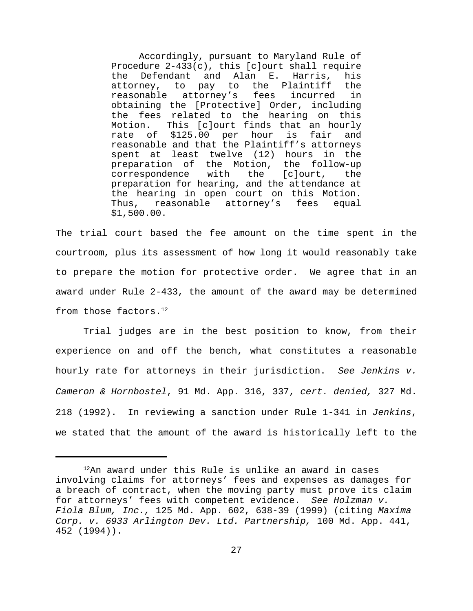Accordingly, pursuant to Maryland Rule of Procedure 2-433(c), this [c]ourt shall require the Defendant and Alan E. Harris, his attorney, to pay to the Plaintiff the reasonable attorney's fees incurred in obtaining the [Protective] Order, including the fees related to the hearing on this Motion. This [c]ourt finds that an hourly rate of \$125.00 per hour is fair and reasonable and that the Plaintiff's attorneys spent at least twelve (12) hours in the preparation of the Motion, the follow-up correspondence with the [c]ourt, the preparation for hearing, and the attendance at the hearing in open court on this Motion. Thus, reasonable attorney's fees equal \$1,500.00.

The trial court based the fee amount on the time spent in the courtroom, plus its assessment of how long it would reasonably take to prepare the motion for protective order. We agree that in an award under Rule 2-433, the amount of the award may be determined from those factors.<sup>12</sup>

Trial judges are in the best position to know, from their experience on and off the bench, what constitutes a reasonable hourly rate for attorneys in their jurisdiction. *See Jenkins v. Cameron & Hornbostel*, 91 Md. App. 316, 337, *cert. denied,* 327 Md. 218 (1992). In reviewing a sanction under Rule 1-341 in *Jenkins*, we stated that the amount of the award is historically left to the

 $12$ An award under this Rule is unlike an award in cases involving claims for attorneys' fees and expenses as damages for a breach of contract, when the moving party must prove its claim for attorneys' fees with competent evidence. *See Holzman v. Fiola Blum, Inc.,* 125 Md. App. 602, 638-39 (1999) (citing *Maxima Corp. v. 6933 Arlington Dev. Ltd. Partnership,* 100 Md. App. 441, 452 (1994)).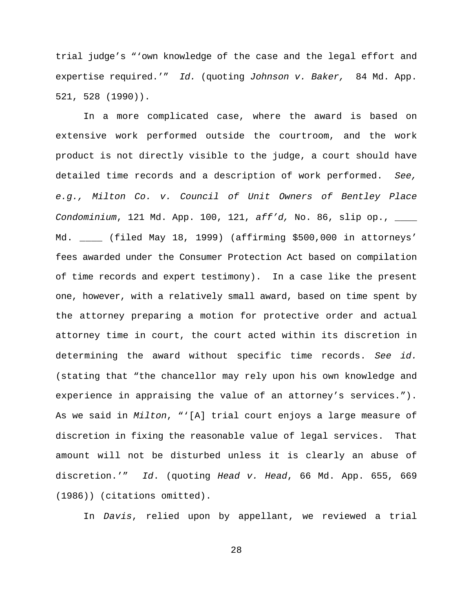trial judge's "'own knowledge of the case and the legal effort and expertise required.'" *Id.* (quoting *Johnson v. Baker,* 84 Md. App. 521, 528 (1990)).

In a more complicated case, where the award is based on extensive work performed outside the courtroom, and the work product is not directly visible to the judge, a court should have detailed time records and a description of work performed. *See, e.g., Milton Co. v. Council of Unit Owners of Bentley Place Condominium*, 121 Md. App. 100, 121, *aff'd,* No. 86, slip op., \_\_\_\_ Md. \_\_\_\_ (filed May 18, 1999) (affirming \$500,000 in attorneys' fees awarded under the Consumer Protection Act based on compilation of time records and expert testimony). In a case like the present one, however, with a relatively small award, based on time spent by the attorney preparing a motion for protective order and actual attorney time in court, the court acted within its discretion in determining the award without specific time records. *See id.* (stating that "the chancellor may rely upon his own knowledge and experience in appraising the value of an attorney's services."). As we said in *Milton*, "'[A] trial court enjoys a large measure of discretion in fixing the reasonable value of legal services. That amount will not be disturbed unless it is clearly an abuse of discretion.'" *Id*. (quoting *Head v. Head*, 66 Md. App. 655, 669 (1986)) (citations omitted).

In *Davis*, relied upon by appellant, we reviewed a trial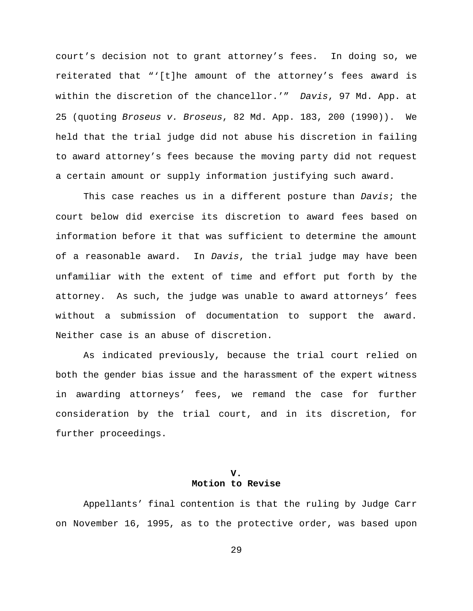court's decision not to grant attorney's fees. In doing so, we reiterated that "'[t]he amount of the attorney's fees award is within the discretion of the chancellor.'" *Davis*, 97 Md. App. at 25 (quoting *Broseus v. Broseus*, 82 Md. App. 183, 200 (1990)). We held that the trial judge did not abuse his discretion in failing to award attorney's fees because the moving party did not request a certain amount or supply information justifying such award.

This case reaches us in a different posture than *Davis*; the court below did exercise its discretion to award fees based on information before it that was sufficient to determine the amount of a reasonable award. In *Davis*, the trial judge may have been unfamiliar with the extent of time and effort put forth by the attorney. As such, the judge was unable to award attorneys' fees without a submission of documentation to support the award. Neither case is an abuse of discretion.

As indicated previously, because the trial court relied on both the gender bias issue and the harassment of the expert witness in awarding attorneys' fees, we remand the case for further consideration by the trial court, and in its discretion, for further proceedings.

# **V. Motion to Revise**

Appellants' final contention is that the ruling by Judge Carr on November 16, 1995, as to the protective order, was based upon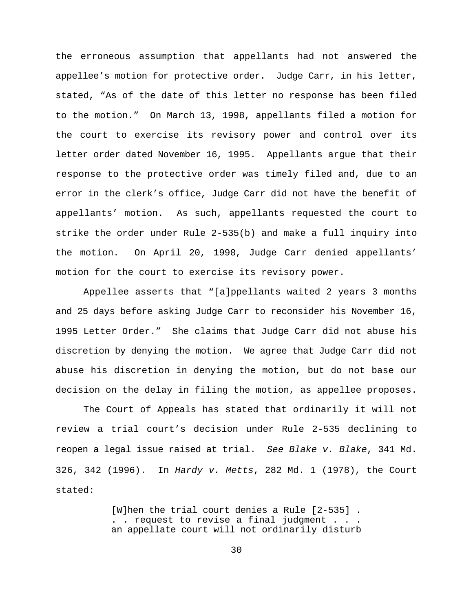the erroneous assumption that appellants had not answered the appellee's motion for protective order. Judge Carr, in his letter, stated, "As of the date of this letter no response has been filed to the motion." On March 13, 1998, appellants filed a motion for the court to exercise its revisory power and control over its letter order dated November 16, 1995. Appellants argue that their response to the protective order was timely filed and, due to an error in the clerk's office, Judge Carr did not have the benefit of appellants' motion. As such, appellants requested the court to strike the order under Rule 2-535(b) and make a full inquiry into the motion. On April 20, 1998, Judge Carr denied appellants' motion for the court to exercise its revisory power.

Appellee asserts that "[a]ppellants waited 2 years 3 months and 25 days before asking Judge Carr to reconsider his November 16, 1995 Letter Order." She claims that Judge Carr did not abuse his discretion by denying the motion. We agree that Judge Carr did not abuse his discretion in denying the motion, but do not base our decision on the delay in filing the motion, as appellee proposes.

The Court of Appeals has stated that ordinarily it will not review a trial court's decision under Rule 2-535 declining to reopen a legal issue raised at trial. *See Blake v. Blake*, 341 Md. 326, 342 (1996). In *Hardy v. Metts*, 282 Md. 1 (1978), the Court stated:

> [W]hen the trial court denies a Rule [2-535] . . . request to revise a final judgment . an appellate court will not ordinarily disturb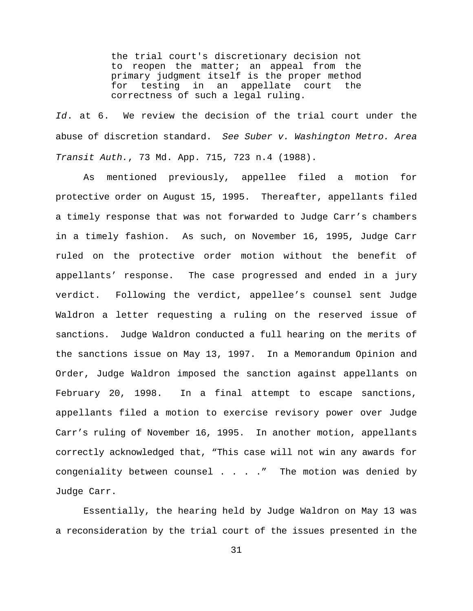the trial court's discretionary decision not to reopen the matter; an appeal from the primary judgment itself is the proper method for testing in an appellate court the correctness of such a legal ruling.

*Id*. at 6. We review the decision of the trial court under the abuse of discretion standard. *See Suber v. Washington Metro. Area Transit Auth.*, 73 Md. App. 715, 723 n.4 (1988).

As mentioned previously, appellee filed a motion for protective order on August 15, 1995. Thereafter, appellants filed a timely response that was not forwarded to Judge Carr's chambers in a timely fashion. As such, on November 16, 1995, Judge Carr ruled on the protective order motion without the benefit of appellants' response. The case progressed and ended in a jury verdict. Following the verdict, appellee's counsel sent Judge Waldron a letter requesting a ruling on the reserved issue of sanctions. Judge Waldron conducted a full hearing on the merits of the sanctions issue on May 13, 1997. In a Memorandum Opinion and Order, Judge Waldron imposed the sanction against appellants on February 20, 1998. In a final attempt to escape sanctions, appellants filed a motion to exercise revisory power over Judge Carr's ruling of November 16, 1995. In another motion, appellants correctly acknowledged that, "This case will not win any awards for congeniality between counsel . . . ." The motion was denied by Judge Carr.

Essentially, the hearing held by Judge Waldron on May 13 was a reconsideration by the trial court of the issues presented in the